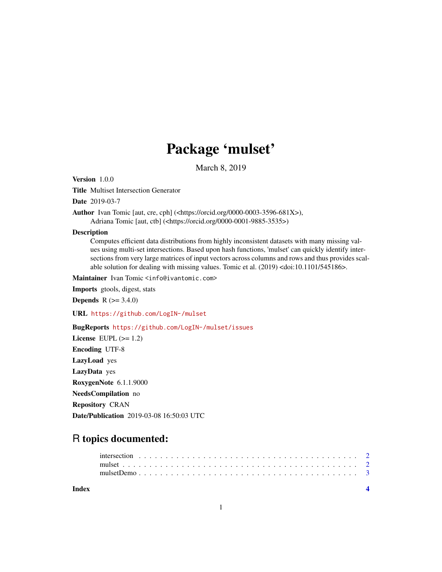## Package 'mulset'

March 8, 2019

Version 1.0.0

Title Multiset Intersection Generator

Date 2019-03-7

Author Ivan Tomic [aut, cre, cph] (<https://orcid.org/0000-0003-3596-681X>),

Adriana Tomic [aut, ctb] (<https://orcid.org/0000-0001-9885-3535>)

#### **Description**

Computes efficient data distributions from highly inconsistent datasets with many missing values using multi-set intersections. Based upon hash functions, 'mulset' can quickly identify intersections from very large matrices of input vectors across columns and rows and thus provides scalable solution for dealing with missing values. Tomic et al. (2019) <doi:10.1101/545186>.

Maintainer Ivan Tomic <info@ivantomic.com>

Imports gtools, digest, stats

**Depends** R  $(>= 3.4.0)$ 

URL <https://github.com/LogIN-/mulset>

BugReports <https://github.com/LogIN-/mulset/issues>

License EUPL  $(>= 1.2)$ Encoding UTF-8 LazyLoad yes LazyData yes RoxygenNote 6.1.1.9000 NeedsCompilation no Repository CRAN Date/Publication 2019-03-08 16:50:03 UTC

### R topics documented:

| Index |  |  |  |  |  |  |  |  |  |  |  |  |  |  |  |  |  |  |
|-------|--|--|--|--|--|--|--|--|--|--|--|--|--|--|--|--|--|--|
|       |  |  |  |  |  |  |  |  |  |  |  |  |  |  |  |  |  |  |
|       |  |  |  |  |  |  |  |  |  |  |  |  |  |  |  |  |  |  |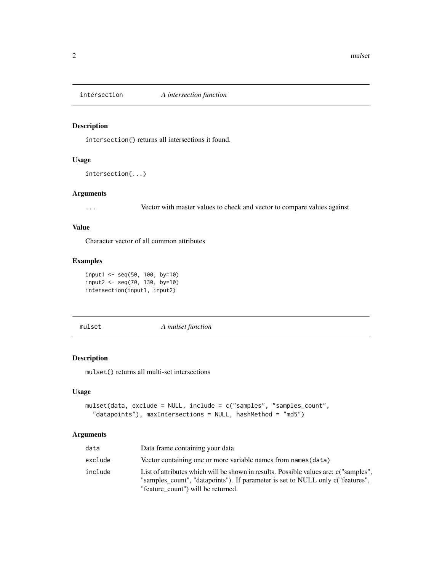<span id="page-1-0"></span>

#### Description

intersection() returns all intersections it found.

#### Usage

intersection(...)

#### Arguments

... Vector with master values to check and vector to compare values against

#### Value

Character vector of all common attributes

#### Examples

```
input1 <- seq(50, 100, by=10)
input2 < -seq(70, 130, by=10)intersection(input1, input2)
```
mulset *A mulset function*

#### Description

mulset() returns all multi-set intersections

#### Usage

```
mulset(data, exclude = NULL, include = c("samples", "samples_count",
  "datapoints"), maxIntersections = NULL, hashMethod = "md5")
```
#### Arguments

| data    | Data frame containing your data                                                                                                                                                                              |
|---------|--------------------------------------------------------------------------------------------------------------------------------------------------------------------------------------------------------------|
| exclude | Vector containing one or more variable names from names (data)                                                                                                                                               |
| include | List of attributes which will be shown in results. Possible values are: c("samples",<br>"samples_count", "datapoints"). If parameter is set to NULL only c("features",<br>"feature count") will be returned. |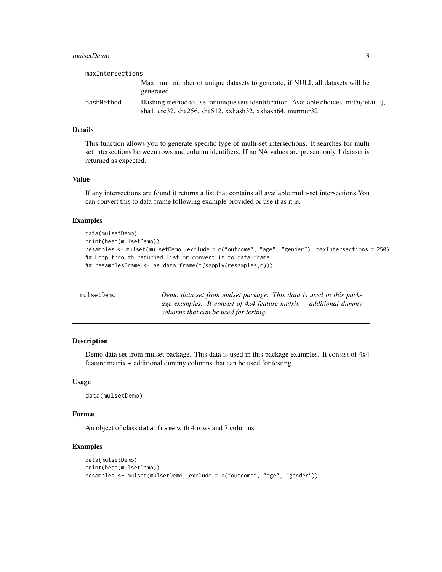#### <span id="page-2-0"></span>mulsetDemo 3

| maxIntersections |                                                                                                                                                               |
|------------------|---------------------------------------------------------------------------------------------------------------------------------------------------------------|
|                  | Maximum number of unique datasets to generate, if NULL all datasets will be<br>generated                                                                      |
| hashMethod       | Hashing method to use for unique sets identification. Available choices: md5(default),<br>sha1, $\text{crc}32$ , sha256, sha512, xxhash32, xxhash64, murmur32 |

#### Details

This function allows you to generate specific type of multi-set intersections. It searches for multi set intersections between rows and column identifiers. If no NA values are present only 1 dataset is returned as expected.

#### Value

If any intersections are found it returns a list that contains all available multi-set intersections You can convert this to data-frame following example provided or use it as it is.

#### Examples

```
data(mulsetDemo)
print(head(mulsetDemo))
resamples <- mulset(mulsetDemo, exclude = c("outcome", "age", "gender"), maxIntersections = 250)
## Loop through returned list or convert it to data-frame
## resamplesFrame <- as.data.frame(t(sapply(resamples,c)))
```

| mulsetDemo | Demo data set from mulset package. This data is used in this pack-    |
|------------|-----------------------------------------------------------------------|
|            | age examples. It consist of $4x4$ feature matrix $+$ additional dummy |
|            | columns that can be used for testing.                                 |

#### Description

Demo data set from mulset package. This data is used in this package examples. It consist of 4x4 feature matrix + additional dummy columns that can be used for testing.

#### Usage

```
data(mulsetDemo)
```
#### Format

An object of class data. frame with 4 rows and 7 columns.

#### Examples

```
data(mulsetDemo)
print(head(mulsetDemo))
resamples <- mulset(mulsetDemo, exclude = c("outcome", "age", "gender"))
```